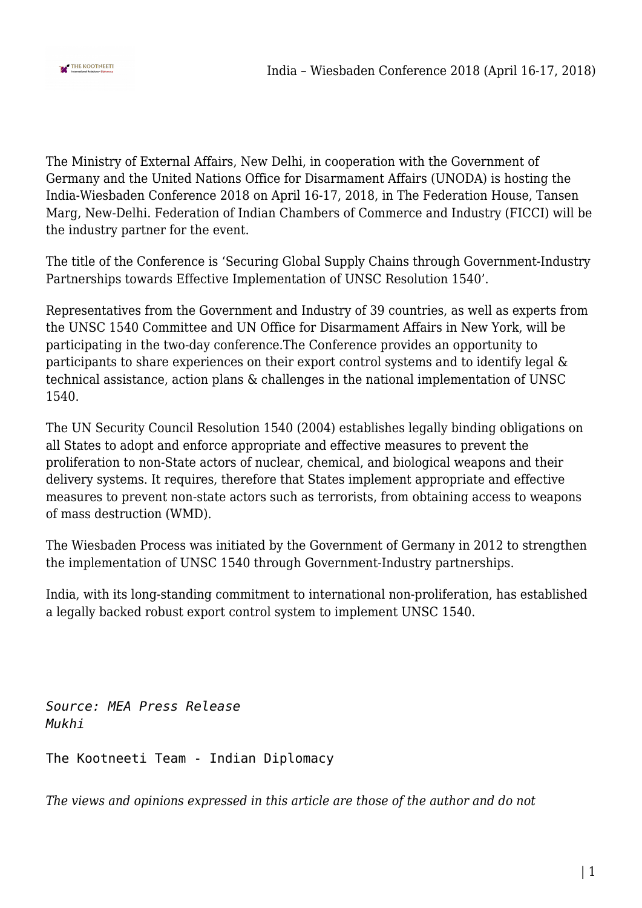

The Ministry of External Affairs, New Delhi, in cooperation with the Government of Germany and the United Nations Office for Disarmament Affairs (UNODA) is hosting the India-Wiesbaden Conference 2018 on April 16-17, 2018, in The Federation House, Tansen Marg, New-Delhi. Federation of Indian Chambers of Commerce and Industry (FICCI) will be the industry partner for the event.

The title of the Conference is 'Securing Global Supply Chains through Government-Industry Partnerships towards Effective Implementation of UNSC Resolution 1540'.

Representatives from the Government and Industry of 39 countries, as well as experts from the UNSC 1540 Committee and UN Office for Disarmament Affairs in New York, will be participating in the two-day conference.The Conference provides an opportunity to participants to share experiences on their export control systems and to identify legal & technical assistance, action plans & challenges in the national implementation of UNSC 1540.

The UN Security Council Resolution 1540 (2004) establishes legally binding obligations on all States to adopt and enforce appropriate and effective measures to prevent the proliferation to non-State actors of nuclear, chemical, and biological weapons and their delivery systems. It requires, therefore that States implement appropriate and effective measures to prevent non-state actors such as terrorists, from obtaining access to weapons of mass destruction (WMD).

The Wiesbaden Process was initiated by the Government of Germany in 2012 to strengthen the implementation of UNSC 1540 through Government-Industry partnerships.

India, with its long-standing commitment to international non-proliferation, has established a legally backed robust export control system to implement UNSC 1540.

*Source: MEA Press Release Mukhi*

The Kootneeti Team - Indian Diplomacy

*The views and opinions expressed in this article are those of the author and do not*